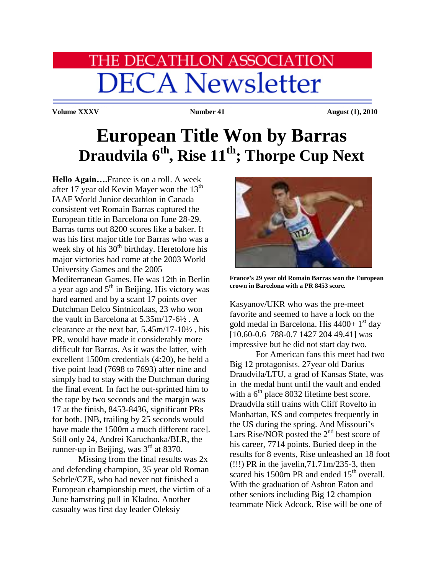## **HE DECATHLON ASSOCIATION DECA Newsletter**

Volume XXXV Number 41 August (1), 2010

## **European Title Won by Barras Draudvila 6th, Rise 11th; Thorpe Cup Next**

**Hello Again….**France is on a roll. A week after 17 year old Kevin Mayer won the  $13<sup>th</sup>$ IAAF World Junior decathlon in Canada consistent vet Romain Barras captured the European title in Barcelona on June 28-29. Barras turns out 8200 scores like a baker. It was his first major title for Barras who was a week shy of his  $30<sup>th</sup>$  birthday. Heretofore his major victories had come at the 2003 World University Games and the 2005 Mediterranean Games. He was 12th in Berlin a year ago and 5<sup>th</sup> in Beijing. His victory was hard earned and by a scant 17 points over Dutchman Eelco Sintnicolaas, 23 who won the vault in Barcelona at 5.35m/17-6½ . A clearance at the next bar, 5.45m/17-10½ , his PR, would have made it considerably more difficult for Barras. As it was the latter, with excellent 1500m credentials (4:20), he held a five point lead (7698 to 7693) after nine and simply had to stay with the Dutchman during the final event. In fact he out-sprinted him to the tape by two seconds and the margin was 17 at the finish, 8453-8436, significant PRs for both. [NB, trailing by 25 seconds would have made the 1500m a much different race]. Still only 24, Andrei Karuchanka/BLR, the runner-up in Beijing, was  $3<sup>rd</sup>$  at 8370.

Missing from the final results was 2x and defending champion, 35 year old Roman Sebrle/CZE, who had never not finished a European championship meet, the victim of a June hamstring pull in Kladno. Another casualty was first day leader Oleksiy



**France's 29 year old Romain Barras won the European crown in Barcelona with a PR 8453 score.**

Kasyanov/UKR who was the pre-meet favorite and seemed to have a lock on the gold medal in Barcelona. His  $4400+1$ <sup>st</sup> day [10.60-0.6 788-0.7 1427 204 49.41] was impressive but he did not start day two.

 For American fans this meet had two Big 12 protagonists. 27year old Darius Draudvila/LTU, a grad of Kansas State, was in the medal hunt until the vault and ended with a  $6<sup>th</sup>$  place 8032 lifetime best score. Draudvila still trains with Cliff Rovelto in Manhattan, KS and competes frequently in the US during the spring. And Missouri's Lars Rise/NOR posted the  $2<sup>nd</sup>$  best score of his career, 7714 points. Buried deep in the results for 8 events, Rise unleashed an 18 foot (!!!) PR in the javelin,71.71m/235-3, then scared his 1500m PR and ended  $15<sup>th</sup>$  overall. With the graduation of Ashton Eaton and other seniors including Big 12 champion teammate Nick Adcock, Rise will be one of